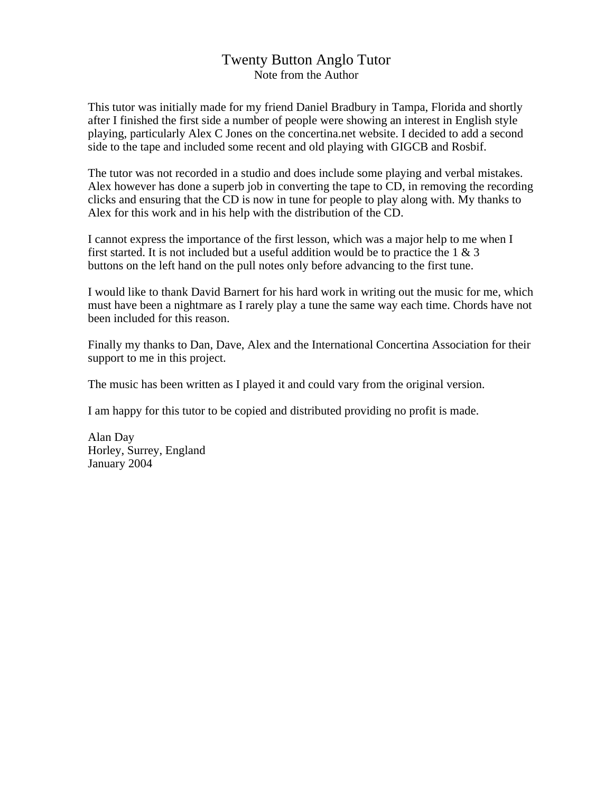## Twenty Button Anglo Tutor Note from the Author

This tutor was initially made for my friend Daniel Bradbury in Tampa, Florida and shortly after I finished the first side a number of people were showing an interest in English style playing, particularly Alex C Jones on the concertina.net website. I decided to add a second side to the tape and included some recent and old playing with GIGCB and Rosbif.

The tutor was not recorded in a studio and does include some playing and verbal mistakes. Alex however has done a superb job in converting the tape to CD, in removing the recording clicks and ensuring that the CD is now in tune for people to play along with. My thanks to Alex for this work and in his help with the distribution of the CD.

I cannot express the importance of the first lesson, which was a major help to me when I first started. It is not included but a useful addition would be to practice the  $1 \& 3$ buttons on the left hand on the pull notes only before advancing to the first tune.

I would like to thank David Barnert for his hard work in writing out the music for me, which must have been a nightmare as I rarely play a tune the same way each time. Chords have not been included for this reason.

Finally my thanks to Dan, Dave, Alex and the International Concertina Association for their support to me in this project.

The music has been written as I played it and could vary from the original version.

I am happy for this tutor to be copied and distributed providing no profit is made.

Alan Day Horley, Surrey, England January 2004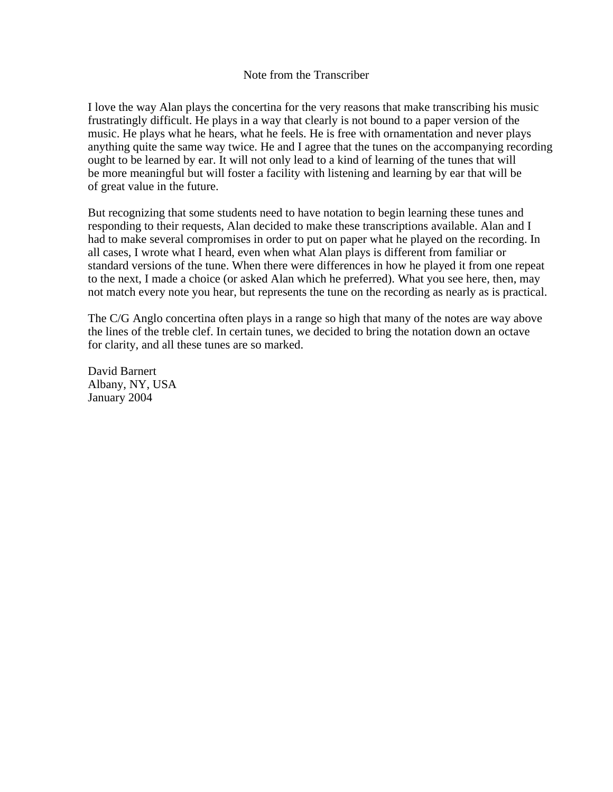## Note from the Transcriber

I love the way Alan plays the concertina for the very reasons that make transcribing his music frustratingly difficult. He plays in a way that clearly is not bound to a paper version of the music. He plays what he hears, what he feels. He is free with ornamentation and never plays anything quite the same way twice. He and I agree that the tunes on the accompanying recording ought to be learned by ear. It will not only lead to a kind of learning of the tunes that will be more meaningful but will foster a facility with listening and learning by ear that will be of great value in the future.

But recognizing that some students need to have notation to begin learning these tunes and responding to their requests, Alan decided to make these transcriptions available. Alan and I had to make several compromises in order to put on paper what he played on the recording. In all cases, I wrote what I heard, even when what Alan plays is different from familiar or standard versions of the tune. When there were differences in how he played it from one repeat to the next, I made a choice (or asked Alan which he preferred). What you see here, then, may not match every note you hear, but represents the tune on the recording as nearly as is practical.

The C/G Anglo concertina often plays in a range so high that many of the notes are way above the lines of the treble clef. In certain tunes, we decided to bring the notation down an octave for clarity, and all these tunes are so marked.

David Barnert Albany, NY, USA January 2004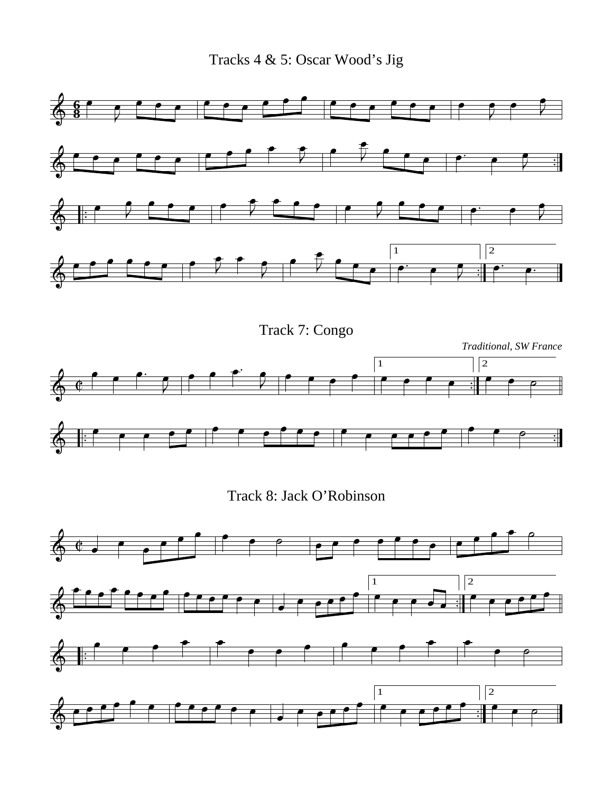Tracks 4 & 5: Oscar Wood's Jig

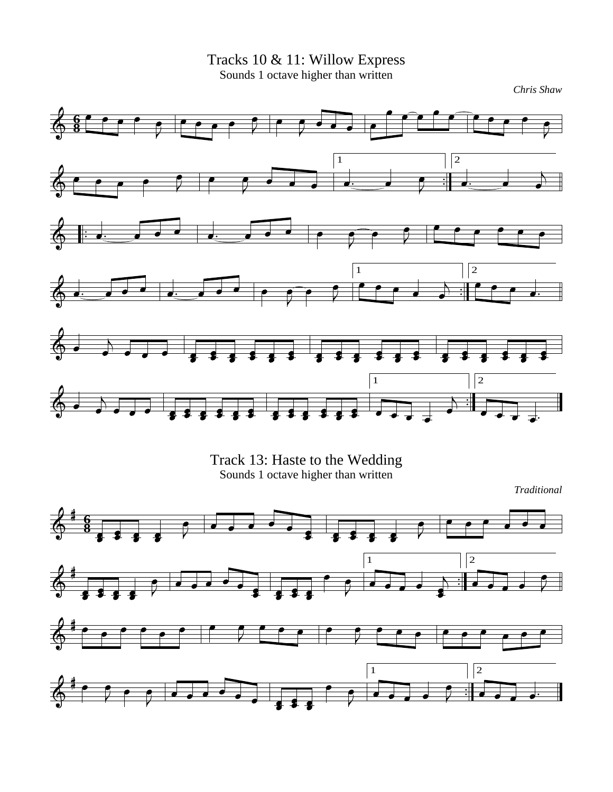Tracks 10 & 11: Willow Express Sounds 1 octave higher than written





*Traditional*

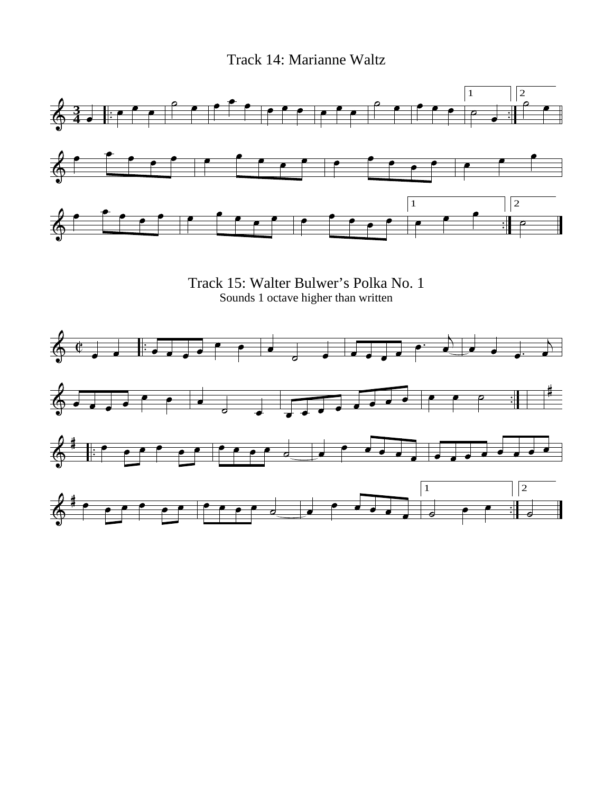Track 14: Marianne Waltz

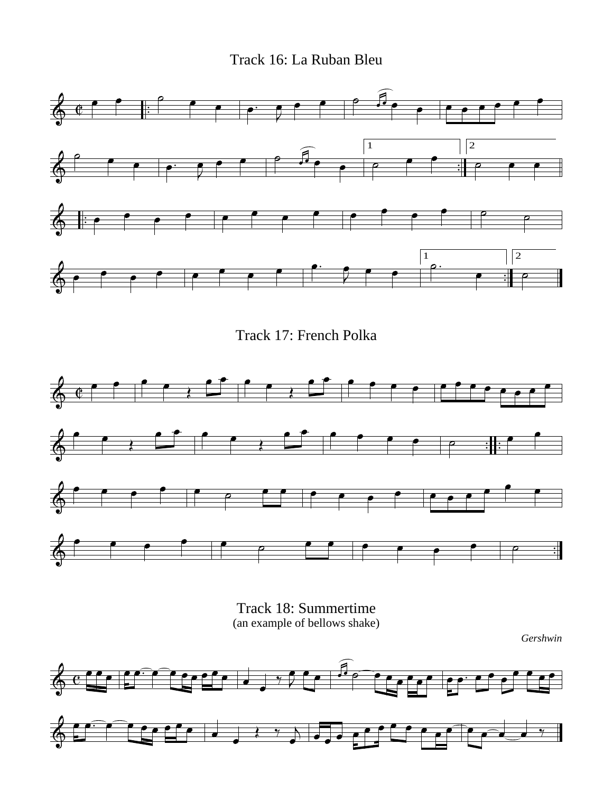Track 16: La Ruban Bleu









*Gershwin*

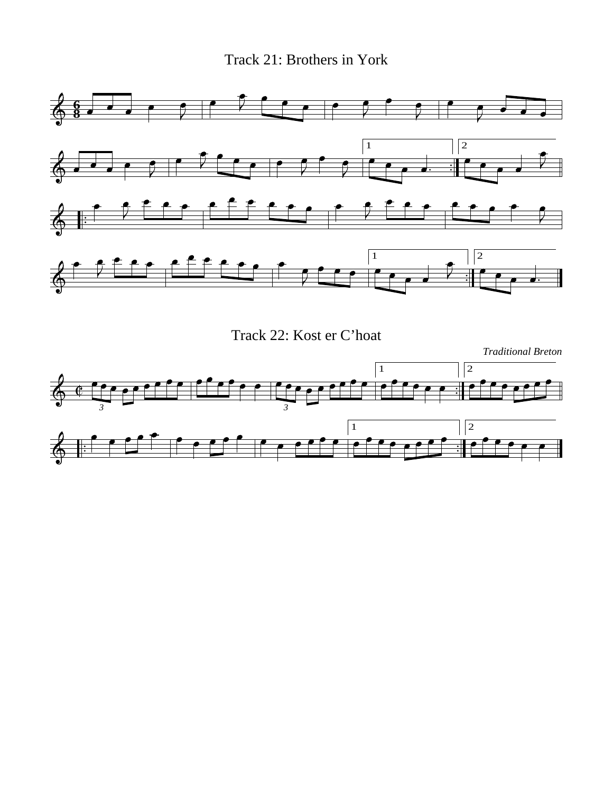Track 21: Brothers in York





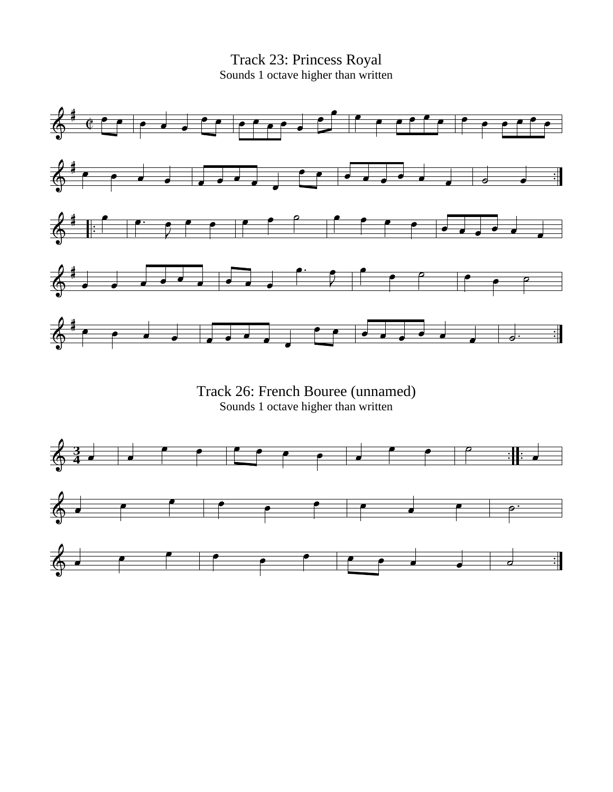Track 23: Princess Royal Sounds 1 octave higher than written



Track 26: French Bouree (unnamed) Sounds 1 octave higher than written

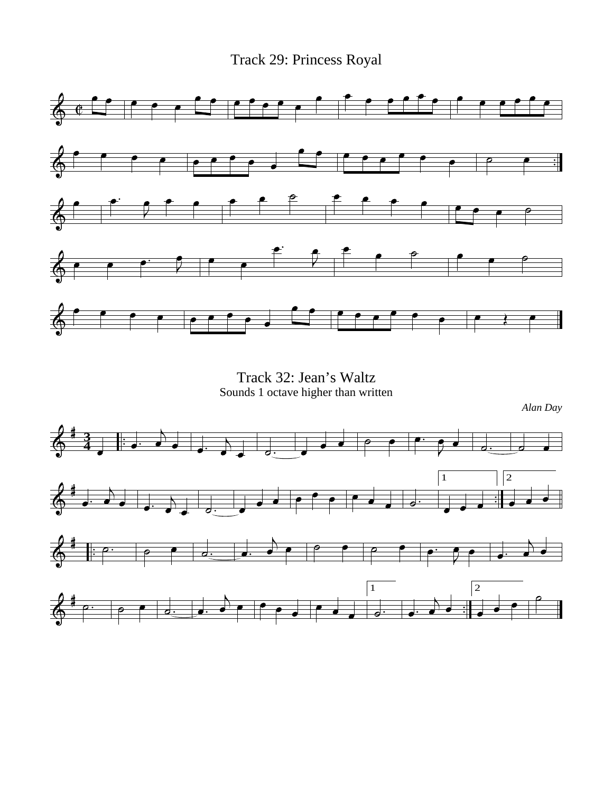Track 29: Princess Royal



Track 32: Jean's Waltz Sounds 1 octave higher than written

*Alan Day*

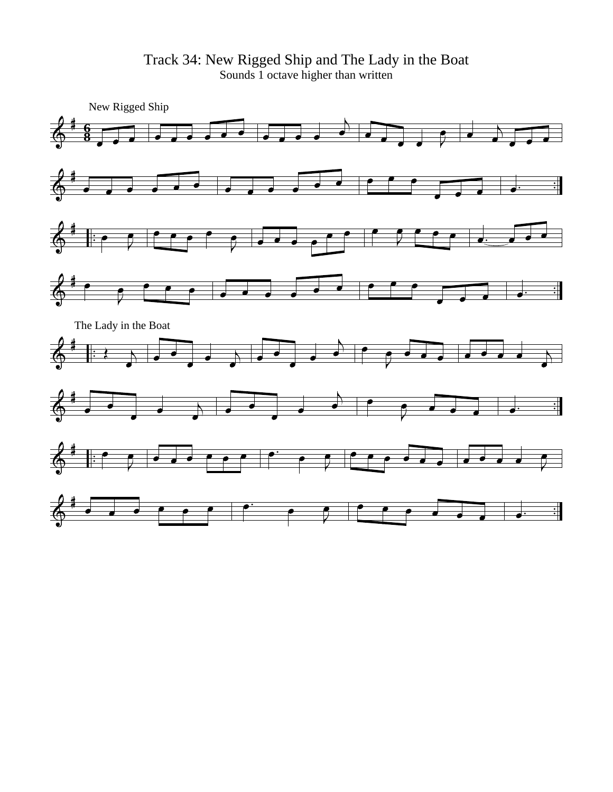Track 34: New Rigged Ship and The Lady in the Boat Sounds 1 octave higher than written